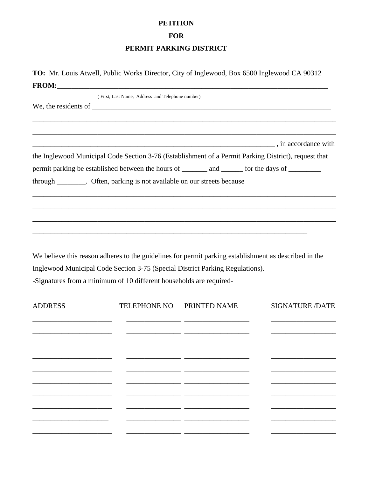## **PETITION**

**FOR** 

## PERMIT PARKING DISTRICT

TO: Mr. Louis Atwell, Public Works Director, City of Inglewood, Box 6500 Inglewood CA 90312 

|                | (First, Last Name, Address and Telephone number)                                                                                                                                                                                                              |              |                                                                                                                                                                                                                                |
|----------------|---------------------------------------------------------------------------------------------------------------------------------------------------------------------------------------------------------------------------------------------------------------|--------------|--------------------------------------------------------------------------------------------------------------------------------------------------------------------------------------------------------------------------------|
|                |                                                                                                                                                                                                                                                               |              | and the same contract of the same contract of the same contract of the same contract of the same contract of the same contract of the same contract of the same contract of the same contract of the same contract of the same |
|                | the Inglewood Municipal Code Section 3-76 (Establishment of a Permit Parking District), request that                                                                                                                                                          |              |                                                                                                                                                                                                                                |
|                | permit parking be established between the hours of _________ and _______ for the days of _________                                                                                                                                                            |              |                                                                                                                                                                                                                                |
|                | through _________. Often, parking is not available on our streets because                                                                                                                                                                                     |              |                                                                                                                                                                                                                                |
|                | We believe this reason adheres to the guidelines for permit parking establishment as described in the<br>Inglewood Municipal Code Section 3-75 (Special District Parking Regulations).<br>-Signatures from a minimum of 10 different households are required- |              |                                                                                                                                                                                                                                |
| <b>ADDRESS</b> | <b>TELEPHONE NO</b>                                                                                                                                                                                                                                           | PRINTED NAME | <b>SIGNATURE /DATE</b>                                                                                                                                                                                                         |
|                |                                                                                                                                                                                                                                                               |              |                                                                                                                                                                                                                                |
|                |                                                                                                                                                                                                                                                               |              |                                                                                                                                                                                                                                |
|                |                                                                                                                                                                                                                                                               |              |                                                                                                                                                                                                                                |
|                |                                                                                                                                                                                                                                                               |              |                                                                                                                                                                                                                                |
|                |                                                                                                                                                                                                                                                               |              |                                                                                                                                                                                                                                |
|                |                                                                                                                                                                                                                                                               |              |                                                                                                                                                                                                                                |